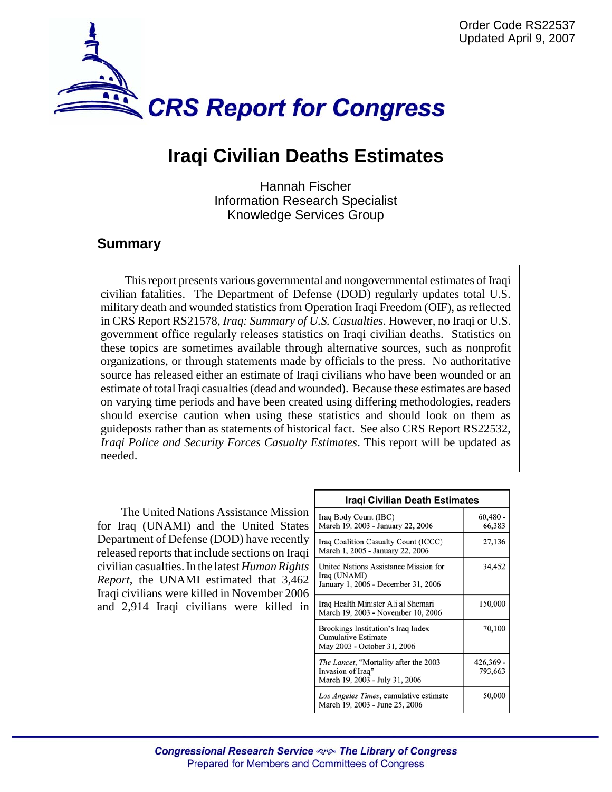

## **Iraqi Civilian Deaths Estimates**

Hannah Fischer Information Research Specialist Knowledge Services Group

## **Summary**

This report presents various governmental and nongovernmental estimates of Iraqi civilian fatalities. The Department of Defense (DOD) regularly updates total U.S. military death and wounded statistics from Operation Iraqi Freedom (OIF), as reflected in CRS Report RS21578, *Iraq: Summary of U.S. Casualties*. However, no Iraqi or U.S. government office regularly releases statistics on Iraqi civilian deaths. Statistics on these topics are sometimes available through alternative sources, such as nonprofit organizations, or through statements made by officials to the press. No authoritative source has released either an estimate of Iraqi civilians who have been wounded or an estimate of total Iraqi casualties (dead and wounded). Because these estimates are based on varying time periods and have been created using differing methodologies, readers should exercise caution when using these statistics and should look on them as guideposts rather than as statements of historical fact. See also CRS Report RS22532, *Iraqi Police and Security Forces Casualty Estimates*. This report will be updated as needed.

The United Nations Assistance Mission for Iraq (UNAMI) and the United States Department of Defense (DOD) have recently released reports that include sections on Iraqi civilian casualties. In the latest *Human Rights Report*, the UNAMI estimated that 3,462 Iraqi civilians were killed in November 2006 and 2,914 Iraqi civilians were killed in

| Iragi Civilian Death Estimates                                                                       |                      |
|------------------------------------------------------------------------------------------------------|----------------------|
| Iraq Body Count (IBC)<br>March 19, 2003 - January 22, 2006                                           | $60,480 -$<br>66,383 |
| Iraq Coalition Casualty Count (ICCC)<br>March 1, 2005 - January 22, 2006                             | 27,136               |
| United Nations Assistance Mission for<br>Iraq (UNAMI)<br>January 1, 2006 - December 31, 2006         | 34,452               |
| Iraq Health Minister Ali al Shemari<br>March 19, 2003 - November 10, 2006                            | 150,000              |
| Brookings Institution's Iraq Index<br>Cumulative Estimate<br>May 2003 - October 31, 2006             | 70,100               |
| <i>The Lancet</i> , "Mortality after the 2003<br>Invasion of Iraq"<br>March 19, 2003 - July 31, 2006 | 426,369 -<br>793,663 |
| Los Angeles Times, cumulative estimate<br>March 19, 2003 - June 25, 2006                             | 50,000               |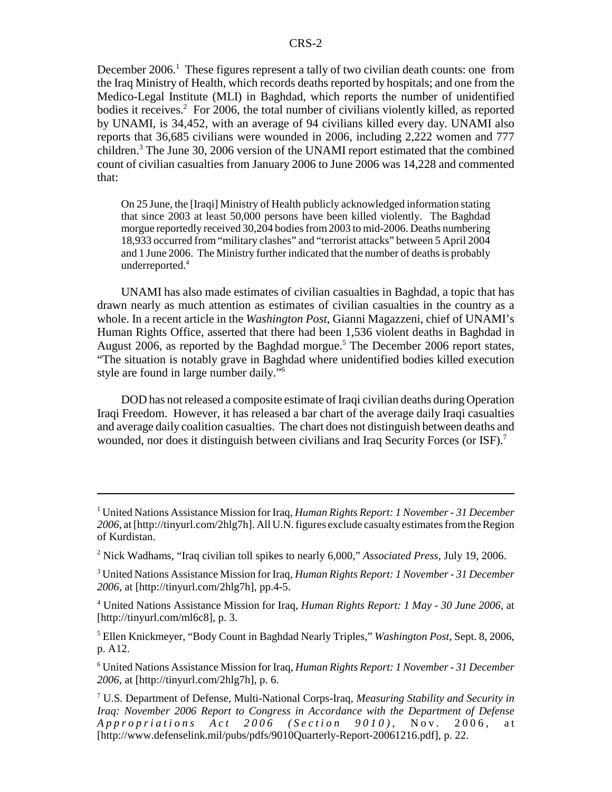December 2006.<sup>1</sup> These figures represent a tally of two civilian death counts: one from the Iraq Ministry of Health, which records deaths reported by hospitals; and one from the Medico-Legal Institute (MLI) in Baghdad, which reports the number of unidentified bodies it receives.<sup>2</sup> For 2006, the total number of civilians violently killed, as reported by UNAMI, is 34,452, with an average of 94 civilians killed every day. UNAMI also reports that 36,685 civilians were wounded in 2006, including 2,222 women and 777 children.<sup>3</sup> The June 30, 2006 version of the UNAMI report estimated that the combined count of civilian casualties from January 2006 to June 2006 was 14,228 and commented that:

On 25 June, the [Iraqi] Ministry of Health publicly acknowledged information stating that since 2003 at least 50,000 persons have been killed violently. The Baghdad morgue reportedly received 30,204 bodies from 2003 to mid-2006. Deaths numbering 18,933 occurred from "military clashes" and "terrorist attacks" between 5 April 2004 and 1 June 2006. The Ministry further indicated that the number of deaths is probably underreported.4

UNAMI has also made estimates of civilian casualties in Baghdad, a topic that has drawn nearly as much attention as estimates of civilian casualties in the country as a whole. In a recent article in the *Washington Post*, Gianni Magazzeni, chief of UNAMI's Human Rights Office, asserted that there had been 1,536 violent deaths in Baghdad in August 2006, as reported by the Baghdad morgue.<sup>5</sup> The December 2006 report states, "The situation is notably grave in Baghdad where unidentified bodies killed execution style are found in large number daily."6

DOD has not released a composite estimate of Iraqi civilian deaths during Operation Iraqi Freedom. However, it has released a bar chart of the average daily Iraqi casualties and average daily coalition casualties. The chart does not distinguish between deaths and wounded, nor does it distinguish between civilians and Iraq Security Forces (or ISF).<sup>7</sup>

5 Ellen Knickmeyer, "Body Count in Baghdad Nearly Triples," *Washington Post*, Sept. 8, 2006, p. A12.

6 United Nations Assistance Mission for Iraq, *Human Rights Report: 1 November - 31 December 2006*, at [http://tinyurl.com/2hlg7h], p. 6.

<sup>1</sup> United Nations Assistance Mission for Iraq, *Human Rights Report: 1 November - 31 December 2006*, at [http://tinyurl.com/2hlg7h]. All U.N. figures exclude casualty estimates from the Region of Kurdistan.

<sup>2</sup> Nick Wadhams, "Iraq civilian toll spikes to nearly 6,000," *Associated Press*, July 19, 2006.

<sup>3</sup> United Nations Assistance Mission for Iraq, *Human Rights Report: 1 November - 31 December 2006*, at [http://tinyurl.com/2hlg7h], pp.4-5.

<sup>4</sup> United Nations Assistance Mission for Iraq, *Human Rights Report: 1 May - 30 June 2006*, at [http://tinyurl.com/ml6c8], p. 3.

<sup>7</sup> U.S. Department of Defense, Multi-National Corps-Iraq, *Measuring Stability and Security in Iraq: November 2006 Report to Congress in Accordance with the Department of Defense Appropriations Act 2006 (Section 9010)* , Nov. 2006, at [http://www.defenselink.mil/pubs/pdfs/9010Quarterly-Report-20061216.pdf], p. 22.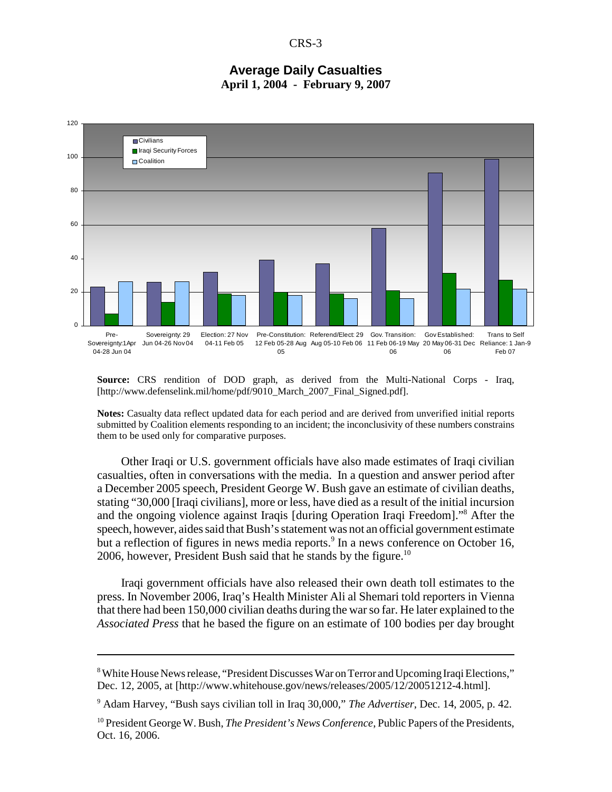CRS-3

## **Average Daily Casualties April 1, 2004 - February 9, 2007**



**Source:** CRS rendition of DOD graph, as derived from the Multi-National Corps - Iraq, [http://www.defenselink.mil/home/pdf/9010\_March\_2007\_Final\_Signed.pdf].

**Notes:** Casualty data reflect updated data for each period and are derived from unverified initial reports submitted by Coalition elements responding to an incident; the inconclusivity of these numbers constrains them to be used only for comparative purposes.

Other Iraqi or U.S. government officials have also made estimates of Iraqi civilian casualties, often in conversations with the media. In a question and answer period after a December 2005 speech, President George W. Bush gave an estimate of civilian deaths, stating "30,000 [Iraqi civilians], more or less, have died as a result of the initial incursion and the ongoing violence against Iraqis [during Operation Iraqi Freedom]."8 After the speech, however, aides said that Bush's statement was not an official government estimate but a reflection of figures in news media reports.<sup>9</sup> In a news conference on October 16, 2006, however, President Bush said that he stands by the figure.<sup>10</sup>

Iraqi government officials have also released their own death toll estimates to the press. In November 2006, Iraq's Health Minister Ali al Shemari told reporters in Vienna that there had been 150,000 civilian deaths during the war so far. He later explained to the *Associated Press* that he based the figure on an estimate of 100 bodies per day brought

9 Adam Harvey, "Bush says civilian toll in Iraq 30,000," *The Advertiser*, Dec. 14, 2005, p. 42.

<sup>&</sup>lt;sup>8</sup> White House News release, "President Discusses War on Terror and Upcoming Iraqi Elections," Dec. 12, 2005, at [http://www.whitehouse.gov/news/releases/2005/12/20051212-4.html].

<sup>10</sup> President George W. Bush, *The President's News Conference*, Public Papers of the Presidents, Oct. 16, 2006.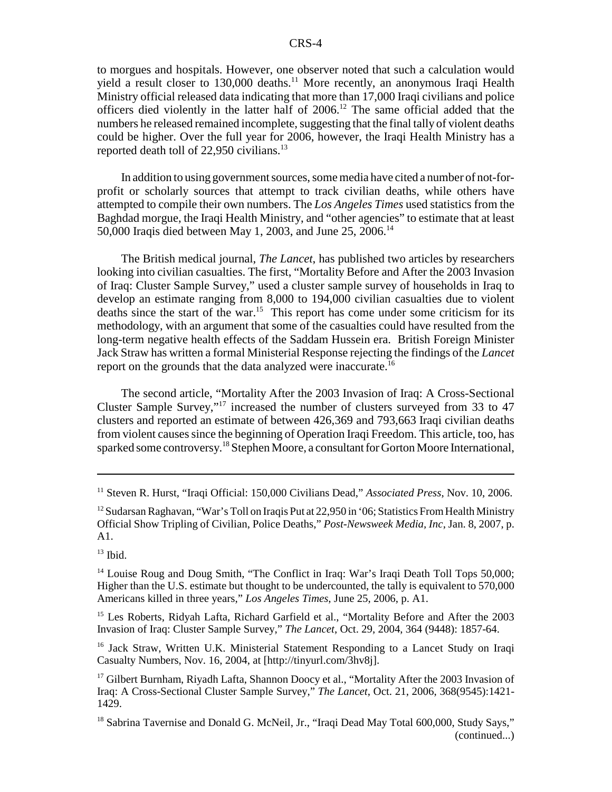to morgues and hospitals. However, one observer noted that such a calculation would yield a result closer to  $130,000$  deaths.<sup>11</sup> More recently, an anonymous Iraqi Health Ministry official released data indicating that more than 17,000 Iraqi civilians and police officers died violently in the latter half of 2006.12 The same official added that the numbers he released remained incomplete, suggesting that the final tally of violent deaths could be higher. Over the full year for 2006, however, the Iraqi Health Ministry has a reported death toll of 22,950 civilians.<sup>13</sup>

In addition to using government sources, some media have cited a number of not-forprofit or scholarly sources that attempt to track civilian deaths, while others have attempted to compile their own numbers. The *Los Angeles Times* used statistics from the Baghdad morgue, the Iraqi Health Ministry, and "other agencies" to estimate that at least 50,000 Iraqis died between May 1, 2003, and June 25, 2006.14

The British medical journal, *The Lancet*, has published two articles by researchers looking into civilian casualties. The first, "Mortality Before and After the 2003 Invasion of Iraq: Cluster Sample Survey," used a cluster sample survey of households in Iraq to develop an estimate ranging from 8,000 to 194,000 civilian casualties due to violent deaths since the start of the war.<sup>15</sup> This report has come under some criticism for its methodology, with an argument that some of the casualties could have resulted from the long-term negative health effects of the Saddam Hussein era. British Foreign Minister Jack Straw has written a formal Ministerial Response rejecting the findings of the *Lancet* report on the grounds that the data analyzed were inaccurate.<sup>16</sup>

The second article, "Mortality After the 2003 Invasion of Iraq: A Cross-Sectional Cluster Sample Survey,"17 increased the number of clusters surveyed from 33 to 47 clusters and reported an estimate of between 426,369 and 793,663 Iraqi civilian deaths from violent causes since the beginning of Operation Iraqi Freedom. This article, too, has sparked some controversy.<sup>18</sup> Stephen Moore, a consultant for Gorton Moore International,

 $13$  Ibid.

<sup>14</sup> Louise Roug and Doug Smith, "The Conflict in Iraq: War's Iraqi Death Toll Tops 50,000; Higher than the U.S. estimate but thought to be undercounted, the tally is equivalent to 570,000 Americans killed in three years," *Los Angeles Times*, June 25, 2006, p. A1.

<sup>15</sup> Les Roberts, Ridyah Lafta, Richard Garfield et al., "Mortality Before and After the 2003 Invasion of Iraq: Cluster Sample Survey," *The Lancet*, Oct. 29, 2004, 364 (9448): 1857-64.

<sup>16</sup> Jack Straw, Written U.K. Ministerial Statement Responding to a Lancet Study on Iraqi Casualty Numbers, Nov. 16, 2004, at [http://tinyurl.com/3hv8j].

<sup>17</sup> Gilbert Burnham, Riyadh Lafta, Shannon Doocy et al., "Mortality After the 2003 Invasion of Iraq: A Cross-Sectional Cluster Sample Survey," *The Lancet*, Oct. 21, 2006, 368(9545):1421- 1429.

<sup>18</sup> Sabrina Tavernise and Donald G. McNeil, Jr., "Iraqi Dead May Total 600,000, Study Says," (continued...)

<sup>11</sup> Steven R. Hurst, "Iraqi Official: 150,000 Civilians Dead," *Associated Press*, Nov. 10, 2006.

<sup>&</sup>lt;sup>12</sup> Sudarsan Raghavan, "War's Toll on Iraqis Put at 22,950 in '06; Statistics From Health Ministry Official Show Tripling of Civilian, Police Deaths," *Post-Newsweek Media, Inc*, Jan. 8, 2007, p. A1.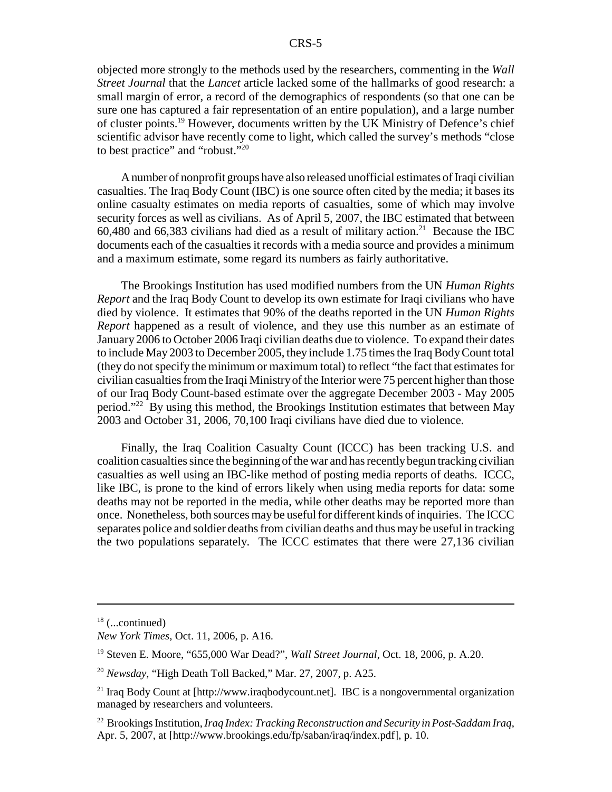objected more strongly to the methods used by the researchers, commenting in the *Wall Street Journal* that the *Lancet* article lacked some of the hallmarks of good research: a small margin of error, a record of the demographics of respondents (so that one can be sure one has captured a fair representation of an entire population), and a large number of cluster points.19 However, documents written by the UK Ministry of Defence's chief scientific advisor have recently come to light, which called the survey's methods "close to best practice" and "robust."20

A number of nonprofit groups have also released unofficial estimates of Iraqi civilian casualties. The Iraq Body Count (IBC) is one source often cited by the media; it bases its online casualty estimates on media reports of casualties, some of which may involve security forces as well as civilians. As of April 5, 2007, the IBC estimated that between 60,480 and 66,383 civilians had died as a result of military action.<sup>21</sup> Because the IBC documents each of the casualties it records with a media source and provides a minimum and a maximum estimate, some regard its numbers as fairly authoritative.

The Brookings Institution has used modified numbers from the UN *Human Rights Report* and the Iraq Body Count to develop its own estimate for Iraqi civilians who have died by violence. It estimates that 90% of the deaths reported in the UN *Human Rights Report* happened as a result of violence, and they use this number as an estimate of January 2006 to October 2006 Iraqi civilian deaths due to violence. To expand their dates to include May 2003 to December 2005, they include 1.75 times the Iraq Body Count total (they do not specify the minimum or maximum total) to reflect "the fact that estimates for civilian casualties from the Iraqi Ministry of the Interior were 75 percent higher than those of our Iraq Body Count-based estimate over the aggregate December 2003 - May 2005 period."22 By using this method, the Brookings Institution estimates that between May 2003 and October 31, 2006, 70,100 Iraqi civilians have died due to violence.

Finally, the Iraq Coalition Casualty Count (ICCC) has been tracking U.S. and coalition casualties since the beginning of the war and has recently begun tracking civilian casualties as well using an IBC-like method of posting media reports of deaths. ICCC, like IBC, is prone to the kind of errors likely when using media reports for data: some deaths may not be reported in the media, while other deaths may be reported more than once. Nonetheless, both sources may be useful for different kinds of inquiries. The ICCC separates police and soldier deaths from civilian deaths and thus may be useful in tracking the two populations separately. The ICCC estimates that there were 27,136 civilian

 $18$  (...continued)

*New York Times*, Oct. 11, 2006, p. A16.

<sup>19</sup> Steven E. Moore, "655,000 War Dead?", *Wall Street Journal*, Oct. 18, 2006, p. A.20.

<sup>20</sup> *Newsday*, "High Death Toll Backed," Mar. 27, 2007, p. A25.

<sup>&</sup>lt;sup>21</sup> Iraq Body Count at [http://www.iraqbodycount.net]. IBC is a nongovernmental organization managed by researchers and volunteers.

<sup>22</sup> Brookings Institution, *Iraq Index: Tracking Reconstruction and Security in Post-Saddam Iraq*, Apr. 5, 2007, at [http://www.brookings.edu/fp/saban/iraq/index.pdf], p. 10.